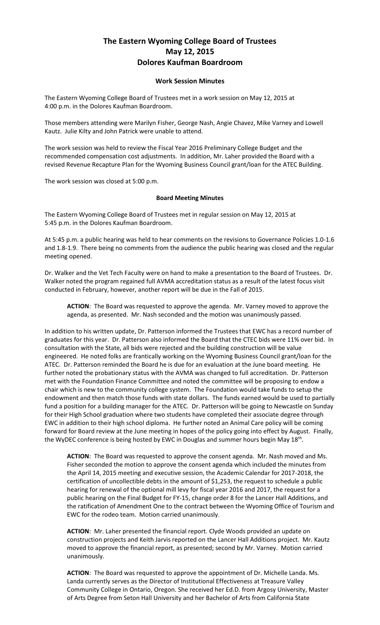## **The Eastern Wyoming College Board of Trustees May 12, 2015 Dolores Kaufman Boardroom**

## **Work Session Minutes**

The Eastern Wyoming College Board of Trustees met in a work session on May 12, 2015 at 4:00 p.m. in the Dolores Kaufman Boardroom.

Those members attending were Marilyn Fisher, George Nash, Angie Chavez, Mike Varney and Lowell Kautz. Julie Kilty and John Patrick were unable to attend.

The work session was held to review the Fiscal Year 2016 Preliminary College Budget and the recommended compensation cost adjustments. In addition, Mr. Laher provided the Board with a revised Revenue Recapture Plan for the Wyoming Business Council grant/loan for the ATEC Building.

The work session was closed at 5:00 p.m.

## **Board Meeting Minutes**

The Eastern Wyoming College Board of Trustees met in regular session on May 12, 2015 at 5:45 p.m. in the Dolores Kaufman Boardroom.

At 5:45 p.m. a public hearing was held to hear comments on the revisions to Governance Policies 1.0-1.6 and 1.8-1.9. There being no comments from the audience the public hearing was closed and the regular meeting opened.

Dr. Walker and the Vet Tech Faculty were on hand to make a presentation to the Board of Trustees. Dr. Walker noted the program regained full AVMA accreditation status as a result of the latest focus visit conducted in February, however, another report will be due in the Fall of 2015.

**ACTION**: The Board was requested to approve the agenda. Mr. Varney moved to approve the agenda, as presented. Mr. Nash seconded and the motion was unanimously passed.

In addition to his written update, Dr. Patterson informed the Trustees that EWC has a record number of graduates for this year. Dr. Patterson also informed the Board that the CTEC bids were 11% over bid. In consultation with the State, all bids were rejected and the building construction will be value engineered. He noted folks are frantically working on the Wyoming Business Council grant/loan for the ATEC. Dr. Patterson reminded the Board he is due for an evaluation at the June board meeting. He further noted the probationary status with the AVMA was changed to full accreditation. Dr. Patterson met with the Foundation Finance Committee and noted the committee will be proposing to endow a chair which is new to the community college system. The Foundation would take funds to setup the endowment and then match those funds with state dollars. The funds earned would be used to partially fund a position for a building manager for the ATEC. Dr. Patterson will be going to Newcastle on Sunday for their High School graduation where two students have completed their associate degree through EWC in addition to their high school diploma. He further noted an Animal Care policy will be coming forward for Board review at the June meeting in hopes of the policy going into effect by August. Finally, the WyDEC conference is being hosted by EWC in Douglas and summer hours begin May 18<sup>th</sup>.

**ACTION**: The Board was requested to approve the consent agenda. Mr. Nash moved and Ms. Fisher seconded the motion to approve the consent agenda which included the minutes from the April 14, 2015 meeting and executive session, the Academic Calendar for 2017-2018, the certification of uncollectible debts in the amount of \$1,253, the request to schedule a public hearing for renewal of the optional mill levy for fiscal year 2016 and 2017, the request for a public hearing on the Final Budget for FY-15, change order 8 for the Lancer Hall Additions, and the ratification of Amendment One to the contract between the Wyoming Office of Tourism and EWC for the rodeo team. Motion carried unanimously.

**ACTION**: Mr. Laher presented the financial report. Clyde Woods provided an update on construction projects and Keith Jarvis reported on the Lancer Hall Additions project. Mr. Kautz moved to approve the financial report, as presented; second by Mr. Varney. Motion carried unanimously.

**ACTION**: The Board was requested to approve the appointment of Dr. Michelle Landa. Ms. Landa currently serves as the Director of Institutional Effectiveness at Treasure Valley Community College in Ontario, Oregon. She received her Ed.D. from Argosy University, Master of Arts Degree from Seton Hall University and her Bachelor of Arts from California State